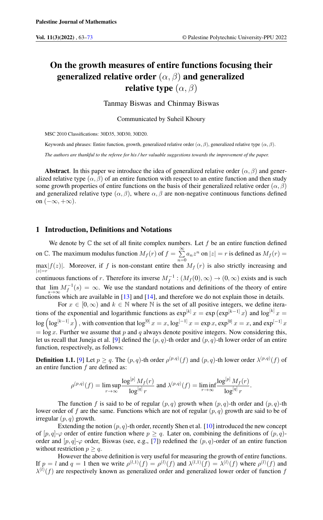# On the growth measures of entire functions focusing their generalized relative order  $(\alpha, \beta)$  and generalized relative type  $(\alpha, \beta)$

Tanmay Biswas and Chinmay Biswas

Communicated by Suheil Khoury

MSC 2010 Classifications: 30D35, 30D30, 30D20.

Keywords and phrases: Entire function, growth, generalized relative order  $(\alpha, \beta)$ , generalized relative type  $(\alpha, \beta)$ .

*The authors are thankful to the referee for his / her valuable suggestions towards the improvement of the paper.*

Abstract. In this paper we introduce the idea of generalized relative order ( $\alpha$ ,  $\beta$ ) and generalized relative type  $(\alpha, \beta)$  of an entire function with respect to an entire function and then study some growth properties of entire functions on the basis of their generalized relative order ( $\alpha$ ,  $\beta$ ) and generalized relative type  $(\alpha, \beta)$ , where  $\alpha, \beta$  are non-negative continuous functions defined on  $(-\infty, +\infty)$ .

## 1 Introduction, Definitions and Notations

We denote by  $\mathbb C$  the set of all finite complex numbers. Let  $f$  be an entire function defined on C. The maximum modulus function  $M_f(r)$  of  $f = \sum_{r=1}^{\infty}$  $\sum_{n=0} a_n z^n$  on  $|z| = r$  is defined as  $M_f(r) =$  $\max_{|z|=r} |f(z)|$ . Moreover, if f is non-constant entire then  $M_f(r)$  is also strictly increasing and continuous functions of r. Therefore its inverse  $M_f^{-1}$  :  $(M_f(0), \infty) \to (0, \infty)$  exists and is such that  $\lim_{s\to\infty}M_f^{-1}(s) = \infty$ . We use the standard notations and definitions of the theory of entire functions which are available in  $[13]$  and  $[14]$ , and therefore we do not explain those in details.

For  $x \in [0, \infty)$  and  $k \in \mathbb{N}$  where  $\mathbb N$  is the set of all positive integers, we define iterations of the exponential and logarithmic functions as  $\exp^{[k]} x = \exp(\exp^{[k-1]} x)$  and  $\log^{[k]} x =$  $\log \left( \log^{[k-1]} x \right)$  , with convention that  $\log^{[0]} x = x$ ,  $\log^{[-1]} x = \exp x$ ,  $\exp^{[0]} x = x$ , and  $\exp^{[-1]} x$  $=$  log x. Further we assume that p and q always denote positive integers. Now considering this, let us recall that Juneja et al. [\[9\]](#page-9-1) defined the  $(p, q)$ -th order and  $(p, q)$ -th lower order of an entire function, respectively, as follows:

<span id="page-0-0"></span>**Definition 1.1.** [\[9\]](#page-9-1) Let  $p \ge q$ . The  $(p, q)$ -th order  $\rho^{(p,q)}(f)$  and  $(p, q)$ -th lower order  $\lambda^{(p,q)}(f)$  of an entire function  $f$  are defined as:

$$
\rho^{(p,q)}(f) = \limsup_{r \to \infty} \frac{\log^{[p]} M_f(r)}{\log^{[q]} r} \text{ and } \lambda^{(p,q)}(f) = \liminf_{r \to \infty} \frac{\log^{[p]} M_f(r)}{\log^{[q]} r}.
$$

The function f is said to be of regular  $(p, q)$  growth when  $(p, q)$ -th order and  $(p, q)$ -th lower order of f are the same. Functions which are not of regular  $(p, q)$  growth are said to be of irregular  $(p, q)$  growth.

Extending the notion  $(p, q)$ -th order, recently Shen et al. [\[10\]](#page-9-2) introduced the new concept of  $[p, q]$ - $\varphi$  order of entire function where  $p \ge q$ . Later on, combining the definitions of  $(p, q)$ order and  $[p, q]$ - $\varphi$  order, Biswas (see, e.g., [\[7\]](#page-9-3)) redefined the  $(p, q)$ -order of an entire function without restriction  $p > q$ .

However the above definition is very useful for measuring the growth of entire functions. If  $p = l$  and  $q = 1$  then we write  $\rho^{(l,1)}(f) = \rho^{(l)}(f)$  and  $\lambda^{(l,1)}(f) = \lambda^{(l)}(f)$  where  $\rho^{(l)}(f)$  and  $\lambda^{(l)}(f)$  are respectively known as generalized order and generalized lower order of function f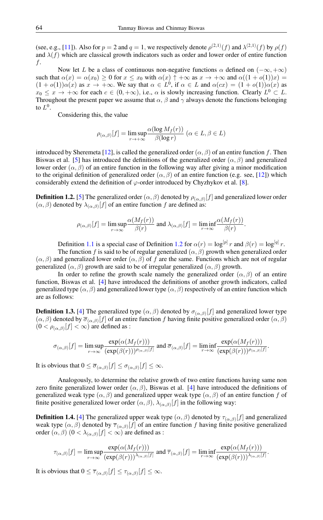(see, e.g., [\[11\]](#page-9-4)). Also for  $p = 2$  and  $q = 1$ , we respectively denote  $\rho^{(2,1)}(f)$  and  $\lambda^{(2,1)}(f)$  by  $\rho(f)$ and  $\lambda(f)$  which are classical growth indicators such as order and lower order of entire function f.

Now let L be a class of continuous non-negative functions  $\alpha$  defined on  $(-\infty, +\infty)$ such that  $\alpha(x) = \alpha(x_0) \ge 0$  for  $x \le x_0$  with  $\alpha(x) \uparrow +\infty$  as  $x \to +\infty$  and  $\alpha((1 + o(1))x) =$  $(1 + o(1))\alpha(x)$  as  $x \to +\infty$ . We say that  $\alpha \in L^0$ , if  $\alpha \in L$  and  $\alpha(cx) = (1 + o(1))\alpha(x)$  as  $x_0 \leq x \to +\infty$  for each  $c \in (0, +\infty)$ , i.e.,  $\alpha$  is slowly increasing function. Clearly  $L^0 \subset L$ . Throughout the present paper we assume that  $\alpha$ ,  $\beta$  and  $\gamma$  always denote the functions belonging to  $L^0$ .

Considering this, the value

$$
\rho_{(\alpha,\beta)}[f] = \limsup_{r \to +\infty} \frac{\alpha(\log M_f(r))}{\beta(\log r)} \ (\alpha \in L, \beta \in L)
$$

introduced by Sheremeta [\[12\]](#page-10-2), is called the generalized order  $(\alpha, \beta)$  of an entire function f. Then Biswas et al. [\[5\]](#page-9-5) has introduced the definitions of the generalized order  $(\alpha, \beta)$  and generalized lower order ( $\alpha$ ,  $\beta$ ) of an entire function in the following way after giving a minor modification to the original definition of generalized order  $(\alpha, \beta)$  of an entire function (e.g. see, [\[12\]](#page-10-2)) which considerably extend the definition of  $\varphi$ -order introduced by Chyzhykov et al. [\[8\]](#page-9-6).

<span id="page-1-0"></span>**Definition 1.2.** [\[5\]](#page-9-5) The generalized order  $(\alpha, \beta)$  denoted by  $\rho_{(\alpha, \beta)}[f]$  and generalized lower order  $(\alpha, \beta)$  denoted by  $\lambda_{(\alpha, \beta)}[f]$  of an entire function f are defined as:

$$
\rho_{(\alpha,\beta)}[f] = \limsup_{r \to \infty} \frac{\alpha(M_f(r))}{\beta(r)} \text{ and } \lambda_{(\alpha,\beta)}[f] = \liminf_{r \to \infty} \frac{\alpha(M_f(r))}{\beta(r)}.
$$

Definition [1.1](#page-0-0) is a special case of Definition [1.2](#page-1-0) for  $\alpha(r) = \log^{[p]} r$  and  $\beta(r) = \log^{[q]} r$ .

The function f is said to be of regular generalized  $(\alpha, \beta)$  growth when generalized order  $(\alpha, \beta)$  and generalized lower order  $(\alpha, \beta)$  of f are the same. Functions which are not of regular generalized  $(\alpha, \beta)$  growth are said to be of irregular generalized  $(\alpha, \beta)$  growth.

In order to refine the growth scale namely the generalized order  $(\alpha, \beta)$  of an entire function, Biswas et al. [\[4\]](#page-9-7) have introduced the definitions of another growth indicators, called generalized type  $(\alpha, \beta)$  and generalized lower type  $(\alpha, \beta)$  respectively of an entire function which are as follows:

**Definition 1.3.** [\[4\]](#page-9-7) The generalized type  $(\alpha, \beta)$  denoted by  $\sigma_{(\alpha, \beta)}[f]$  and generalized lower type  $(\alpha, \beta)$  denoted by  $\overline{\sigma}_{(\alpha, \beta)}[f]$  of an entire function f having finite positive generalized order  $(\alpha, \beta)$  $(0 < \rho_{(\alpha,\beta)}[f] < \infty)$  are defined as :

$$
\sigma_{(\alpha,\beta)}[f] = \limsup_{r \to \infty} \frac{\exp(\alpha(M_f(r)))}{(\exp(\beta(r)))^{\rho_{(\alpha,\beta)}[f]}} \text{ and } \overline{\sigma}_{(\alpha,\beta)}[f] = \liminf_{r \to \infty} \frac{\exp(\alpha(M_f(r)))}{(\exp(\beta(r)))^{\rho_{(\alpha,\beta)}[f]}}.
$$

It is obvious that  $0 \le \overline{\sigma}_{(\alpha,\beta)}[f] \le \sigma_{(\alpha,\beta)}[f] \le \infty$ .

Analogously, to determine the relative growth of two entire functions having same non zero finite generalized lower order  $(\alpha, \beta)$ , Biswas et al. [\[4\]](#page-9-7) have introduced the definitions of generalized weak type  $(\alpha, \beta)$  and generalized upper weak type  $(\alpha, \beta)$  of an entire function f of finite positive generalized lower order  $(\alpha, \beta), \lambda_{(\alpha, \beta)}[f]$  in the following way:

**Definition 1.4.** [\[4\]](#page-9-7) The generalized upper weak type  $(\alpha, \beta)$  denoted by  $\tau_{(\alpha, \beta)}[f]$  and generalized weak type  $(\alpha, \beta)$  denoted by  $\overline{\tau}_{(\alpha, \beta)}[f]$  of an entire function f having finite positive generalized order  $(\alpha, \beta)$   $(0 < \lambda_{(\alpha, \beta)}[f] < \infty)$  are defined as :

$$
\tau_{(\alpha,\beta)}[f] = \limsup_{r \to \infty} \frac{\exp(\alpha(M_f(r)))}{(\exp(\beta(r)))^{\lambda_{(\alpha,\beta)}[f]}} \text{ and } \overline{\tau}_{(\alpha,\beta)}[f] = \liminf_{r \to \infty} \frac{\exp(\alpha(M_f(r)))}{(\exp(\beta(r)))^{\lambda_{(\alpha,\beta)}[f]}}.
$$

It is obvious that  $0 \leq \overline{\tau}_{(\alpha,\beta)}[f] \leq \tau_{(\alpha,\beta)}[f] \leq \infty$ .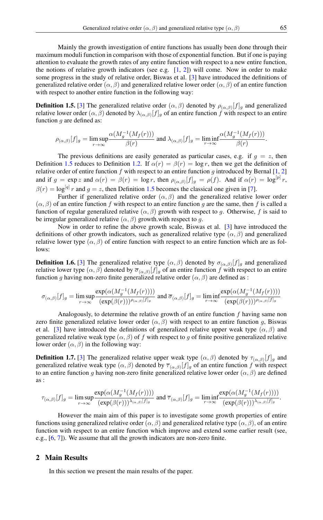Mainly the growth investigation of entire functions has usually been done through their maximum moduli function in comparison with those of exponential function. But if one is paying attention to evaluate the growth rates of any entire function with respect to a new entire function, the notions of relative growth indicators (see e.g.  $[1, 2]$  $[1, 2]$  $[1, 2]$ ) will come. Now in order to make some progress in the study of relative order, Biswas et al. [\[3\]](#page-9-10) have introduced the definitions of generalized relative order  $(\alpha, \beta)$  and generalized relative lower order  $(\alpha, \beta)$  of an entire function with respect to another entire function in the following way:

<span id="page-2-0"></span>**Definition 1.5.** [\[3\]](#page-9-10) The generalized relative order  $(\alpha, \beta)$  denoted by  $\rho_{(\alpha, \beta)}[f]_g$  and generalized relative lower order  $(\alpha, \beta)$  denoted by  $\lambda_{(\alpha, \beta)}[f]_g$  of an entire function f with respect to an entire function  $g$  are defined as:

$$
\rho_{(\alpha,\beta)}[f]_g = \limsup_{r \to \infty} \frac{\alpha(M_g^{-1}(M_f(r)))}{\beta(r)} \text{ and } \lambda_{(\alpha,\beta)}[f]_g = \liminf_{r \to \infty} \frac{\alpha(M_g^{-1}(M_f(r)))}{\beta(r)}.
$$

The previous definitions are easily generated as particular cases, e.g. if  $g = z$ , then Definition [1.5](#page-2-0) reduces to Definition [1.2.](#page-1-0) If  $\alpha(r) = \beta(r) = \log r$ , then we get the definition of relative order of entire function  $f$  with respect to an entire function  $g$  introduced by Bernal [\[1,](#page-9-8) [2\]](#page-9-9) and if  $g = \exp z$  and  $\alpha(r) = \beta(r) = \log r$ , then  $\rho_{(\alpha,\beta)}[f]_g = \rho(f)$ . And if  $\alpha(r) = \log^{[p]} r$ ,  $\beta(r) = \log^{[q]} r$  and  $g = z$ , then Definition [1.5](#page-2-0) becomes the classical one given in [\[7\]](#page-9-3).

Further if generalized relative order  $(\alpha, \beta)$  and the generalized relative lower order  $(\alpha, \beta)$  of an entire function f with respect to an entire function g are the same, then f is called a function of regular generalized relative  $(\alpha, \beta)$  growth with respect to g. Otherwise, f is said to be irregular generalized relative  $(\alpha, \beta)$  growth.with respect to g.

Now in order to refine the above growth scale, Biswas et al. [\[3\]](#page-9-10) have introduced the definitions of other growth indicators, such as generalized relative type  $(\alpha, \beta)$  and generalized relative lower type  $(\alpha, \beta)$  of entire function with respect to an entire function which are as follows:

**Definition 1.6.** [\[3\]](#page-9-10) The generalized relative type  $(\alpha, \beta)$  denoted by  $\sigma_{(\alpha, \beta)}[f]_g$  and generalized relative lower type  $(\alpha, \beta)$  denoted by  $\overline{\sigma}_{(\alpha, \beta)}[f]_g$  of an entire function f with respect to an entire function g having non-zero finite generalized relative order  $(\alpha, \beta)$  are defined as :

$$
\sigma_{(\alpha,\beta)}[f]_g=\limsup_{r\to\infty}\frac{\exp(\alpha(M_g^{-1}(M_f(r))))}{(\exp(\beta(r)))^{\rho_{(\alpha,\beta)}[f]_g}}\text{ and } \overline{\sigma}_{(\alpha,\beta)}[f]_g=\liminf_{r\to\infty}\frac{\exp(\alpha(M_g^{-1}(M_f(r))))}{(\exp(\beta(r)))^{\rho_{(\alpha,\beta)}[f]_g}}
$$

Analogously, to determine the relative growth of an entire function  $f$  having same non zero finite generalized relative lower order ( $\alpha$ ,  $\beta$ ) with respect to an entire function g, Biswas et al. [\[3\]](#page-9-10) have introduced the definitions of generalized relative upper weak type  $(\alpha, \beta)$  and generalized relative weak type  $(\alpha, \beta)$  of f with respect to g of finite positive generalized relative lower order  $(\alpha, \beta)$  in the following way:

**Definition 1.7.** [\[3\]](#page-9-10) The generalized relative upper weak type  $(\alpha, \beta)$  denoted by  $\tau_{(\alpha, \beta)}[f]_g$  and generalized relative weak type  $(\alpha, \beta)$  denoted by  $\overline{\tau}_{(\alpha, \beta)}[f]_g$  of an entire function f with respect to an entire function g having non-zero finite generalized relative lower order  $(\alpha, \beta)$  are defined as :

$$
\tau_{(\alpha,\beta)}[f]_g=\limsup_{r\to\infty}\frac{\exp(\alpha(M_g^{-1}(M_f(r))))}{(\exp(\beta(r)))^{\lambda_{(\alpha,\beta)}[f]_g}}\text{ and }\overline{\tau}_{(\alpha,\beta)}[f]_g=\liminf_{r\to\infty}\frac{\exp(\alpha(M_g^{-1}(M_f(r))))}{(\exp(\beta(r)))^{\lambda_{(\alpha,\beta)}[f]_g}}.
$$

However the main aim of this paper is to investigate some growth properties of entire functions using generalized relative order ( $\alpha$ ,  $\beta$ ) and generalized relative type ( $\alpha$ ,  $\beta$ ), of an entire function with respect to an entire function which improve and extend some earlier result (see, e.g., [\[6,](#page-9-11) [7\]](#page-9-3)). We assume that all the growth indicators are non-zero finite.

# 2 Main Results

In this section we present the main results of the paper.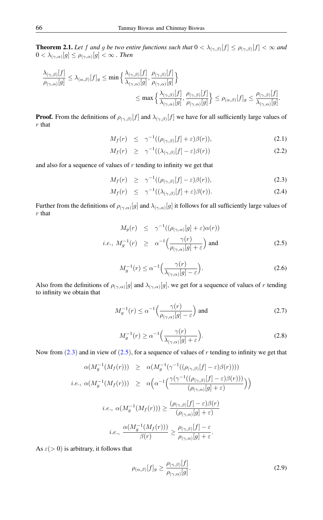<span id="page-3-7"></span>**Theorem 2.1.** Let f and g be two entire functions such that  $0 < \lambda_{(\gamma,\beta)}[f] \leq \rho_{(\gamma,\beta)}[f] < \infty$  and  $0<\lambda_{(\gamma,\alpha)}[g]\leq \rho_{(\gamma,\alpha)}[g]<\infty$  . Then

$$
\frac{\lambda_{(\gamma,\beta)}[f]}{\rho_{(\gamma,\alpha)}[g]} \leq \lambda_{(\alpha,\beta)}[f]_g \leq \min\left\{\frac{\lambda_{(\gamma,\beta)}[f]}{\lambda_{(\gamma,\alpha)}[g]},\frac{\rho_{(\gamma,\beta)}[f]}{\rho_{(\gamma,\alpha)}[g]}\right\}
$$

$$
\leq \max\left\{\frac{\lambda_{(\gamma,\beta)}[f]}{\lambda_{(\gamma,\alpha)}[g]},\frac{\rho_{(\gamma,\beta)}[f]}{\rho_{(\gamma,\alpha)}[g]}\right\} \leq \rho_{(\alpha,\beta)}[f]_g \leq \frac{\rho_{(\gamma,\beta)}[f]}{\lambda_{(\gamma,\alpha)}[g]}.
$$

**Proof.** From the definitions of  $\rho_{(\gamma,\beta)}[f]$  and  $\lambda_{(\gamma,\beta)}[f]$  we have for all sufficiently large values of  $r$  that

<span id="page-3-2"></span>
$$
M_f(r) \leq \gamma^{-1}((\rho_{(\gamma,\beta)}[f]+\varepsilon)\beta(r)), \tag{2.1}
$$

$$
M_f(r) \geq \gamma^{-1}((\lambda_{(\gamma,\beta)}[f]-\varepsilon)\beta(r)) \tag{2.2}
$$

and also for a sequence of values of  $r$  tending to infinity we get that

<span id="page-3-0"></span>
$$
M_f(r) \geq \gamma^{-1}((\rho_{(\gamma,\beta)}[f]-\varepsilon)\beta(r)), \tag{2.3}
$$

$$
M_f(r) \leq \gamma^{-1}((\lambda_{(\gamma,\beta)}[f]+\varepsilon)\beta(r)). \tag{2.4}
$$

Further from the definitions of  $\rho_{(\gamma,\alpha)}[g]$  and  $\lambda_{(\gamma,\alpha)}[g]$  it follows for all sufficiently large values of r that

<span id="page-3-1"></span>
$$
M_g(r) \leq \gamma^{-1}((\rho_{(\gamma,\alpha)}[g] + \varepsilon)\alpha(r))
$$
  
*i.e.*,  $M_g^{-1}(r) \geq \alpha^{-1}\left(\frac{\gamma(r)}{\rho_{(\gamma,\alpha)}[g] + \varepsilon}\right)$  and (2.5)

$$
M_g^{-1}(r) \le \alpha^{-1} \left( \frac{\gamma(r)}{\lambda_{(\gamma,\alpha)}[g] - \varepsilon} \right). \tag{2.6}
$$

<span id="page-3-4"></span>Also from the definitions of  $\rho_{(\gamma,\alpha)}[g]$  and  $\lambda_{(\gamma,\alpha)}[g]$ , we get for a sequence of values of r tending to infinity we obtain that

<span id="page-3-5"></span>
$$
M_g^{-1}(r) \le \alpha^{-1} \Big(\frac{\gamma(r)}{\rho_{(\gamma,\alpha)}[g] - \varepsilon}\Big) \text{ and } \tag{2.7}
$$

$$
M_g^{-1}(r) \ge \alpha^{-1} \Big(\frac{\gamma(r)}{\lambda_{(\gamma,\alpha)}[g] + \varepsilon}\Big). \tag{2.8}
$$

<span id="page-3-3"></span>Now from  $(2.3)$  $(2.3)$  $(2.3)$  and in view of  $(2.5)$ , for a sequence of values of r tending to infinity we get that

$$
\alpha(M_g^{-1}(M_f(r))) \geq \alpha(M_g^{-1}(\gamma^{-1}((\rho_{(\gamma,\beta)}[f]-\varepsilon)\beta(r))))
$$
  
\n*i.e.*,  $\alpha(M_g^{-1}(M_f(r))) \geq \alpha\left(\alpha^{-1}\left(\frac{\gamma(\gamma^{-1}((\rho_{(\gamma,\beta)}[f]-\varepsilon)\beta(r)))}{(\rho_{(\gamma,\alpha)}[g]+\varepsilon)}\right)\right)$   
\n*i.e.*,  $\alpha(M_g^{-1}(M_f(r))) \geq \frac{(\rho_{(\gamma,\beta)}[f]-\varepsilon)\beta(r)}{(\rho_{(\gamma,\alpha)}[g]+\varepsilon)}$   
\n*i.e.*,  $\frac{\alpha(M_g^{-1}(M_f(r)))}{\beta(r)} \geq \frac{\rho_{(\gamma,\beta)}[f]-\varepsilon}{\rho_{(\gamma,\alpha)}[g]+\varepsilon}$ .

<span id="page-3-6"></span>As  $\varepsilon$ ( $>$  0) is arbitrary, it follows that

$$
\rho_{(\alpha,\beta)}[f]_g \ge \frac{\rho_{(\gamma,\beta)}[f]}{\rho_{(\gamma,\alpha)}[g]}.\tag{2.9}
$$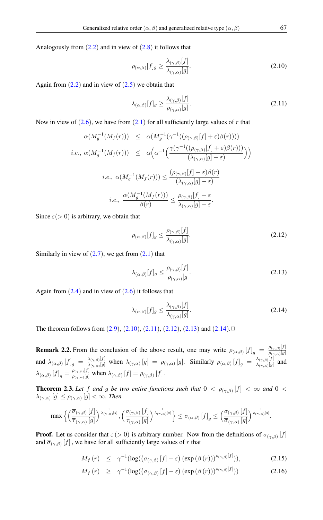Analogously from  $(2.2)$  $(2.2)$  $(2.2)$  and in view of  $(2.8)$  it follows that

<span id="page-4-0"></span>
$$
\rho_{(\alpha,\beta)}[f]_g \ge \frac{\lambda_{(\gamma,\beta)}[f]}{\lambda_{(\gamma,\alpha)}[g]}.\tag{2.10}
$$

Again from  $(2.2)$  $(2.2)$  $(2.2)$  and in view of  $(2.5)$  we obtain that

<span id="page-4-1"></span>
$$
\lambda_{(\alpha,\beta)}[f]_g \ge \frac{\lambda_{(\gamma,\beta)}[f]}{\rho_{(\gamma,\alpha)}[g]}.\tag{2.11}
$$

Now in view of  $(2.6)$  $(2.6)$  $(2.6)$ , we have from  $(2.1)$  $(2.1)$  $(2.1)$  for all sufficiently large values of r that

$$
\alpha(M_g^{-1}(M_f(r))) \leq \alpha(M_g^{-1}(\gamma^{-1}((\rho_{(\gamma,\beta)}[f]+\varepsilon)\beta(r))))
$$
  
\n*i.e.*,  $\alpha(M_g^{-1}(M_f(r))) \leq \alpha\left(\alpha^{-1}\left(\frac{\gamma(\gamma^{-1}((\rho_{(\gamma,\beta)}[f]+\varepsilon)\beta(r)))}{(\lambda_{(\gamma,\alpha)}[g]-\varepsilon)}\right)\right)$   
\n*i.e.*,  $\alpha(M_g^{-1}(M_f(r))) \leq \frac{(\rho_{(\gamma,\beta)}[f]+\varepsilon)\beta(r)}{(\lambda_{(\gamma,\alpha)}[g]-\varepsilon)}$   
\n*i.e.*,  $\frac{\alpha(M_g^{-1}(M_f(r)))}{\beta(r)} \leq \frac{\rho_{(\gamma,\beta)}[f]+\varepsilon}{\lambda_{(\gamma,\alpha)}[g]-\varepsilon}$ .

<span id="page-4-2"></span>Since  $\varepsilon$ ( $>$  0) is arbitrary, we obtain that

$$
\rho_{(\alpha,\beta)}[f]_g \le \frac{\rho_{(\gamma,\beta)}[f]}{\lambda_{(\gamma,\alpha)}[g]}.\tag{2.12}
$$

Similarly in view of  $(2.7)$  $(2.7)$  $(2.7)$ , we get from  $(2.1)$  that

<span id="page-4-3"></span>
$$
\lambda_{(\alpha,\beta)}[f]_g \le \frac{\rho_{(\gamma,\beta)}[f]}{\rho_{(\gamma,\alpha)}[g]}.\tag{2.13}
$$

Again from  $(2.4)$  $(2.4)$  $(2.4)$  and in view of  $(2.6)$  it follows that

<span id="page-4-4"></span>
$$
\lambda_{(\alpha,\beta)}[f]_g \le \frac{\lambda_{(\gamma,\beta)}[f]}{\lambda_{(\gamma,\alpha)}[g]}.\tag{2.14}
$$

The theorem follows from  $(2.9)$  $(2.9)$  $(2.9)$ ,  $(2.10)$  $(2.10)$  $(2.10)$ ,  $(2.11)$  $(2.11)$  $(2.11)$ ,  $(2.12)$  $(2.12)$  $(2.12)$ ,  $(2.13)$  $(2.13)$  $(2.13)$  and  $(2.14)$  $(2.14)$  $(2.14)$ .

<span id="page-4-7"></span>**Remark 2.2.** From the conclusion of the above result, one may write  $\rho_{(\alpha,\beta)}[f]_g = \frac{\rho_{(\gamma,\beta)}[f]}{\rho_{(\gamma,\alpha)}[g]}$  $\rho_{(\gamma,\alpha)}[g]$ and  $\lambda_{(\alpha,\beta)} [f]_g = \frac{\lambda_{(\gamma,\beta)}[f]}{\lambda_{(\gamma,\alpha)}[g]}$  $\frac{\lambda_{(\gamma,\beta)}[f]}{\lambda_{(\gamma,\alpha)}[g]}$  when  $\lambda_{(\gamma,\alpha)}[g] = \rho_{(\gamma,\alpha)}[g]$ . Similarly  $\rho_{(\alpha,\beta)}[f]_g = \frac{\lambda_{(\gamma,\beta)}[f]}{\lambda_{(\gamma,\alpha)}[g]}$  $\frac{\lambda(\gamma,\beta)[J]}{\lambda_{(\gamma,\alpha)}[g]}$  and  $\lambda_{(\alpha,\beta)}[f]_g = \frac{\rho_{(\gamma,\beta)}[f]}{\rho_{(\gamma,\alpha)}[g]}$  $\frac{\rho_{(\gamma,\beta)}[J]}{\rho_{(\gamma,\alpha)}[g]}$  when  $\lambda_{(\gamma,\beta)}[f] = \rho_{(\gamma,\beta)}[f]$ .

<span id="page-4-6"></span>**Theorem 2.3.** Let f and g be two entire functions such that  $0 < \rho_{(\gamma,\beta)}[f] < \infty$  and  $0 <$  $\lambda_{(\gamma,\alpha)}[g] \leq \rho_{(\gamma,\alpha)}[g] < \infty$ . Then

$$
\max\Big\{\Big(\frac{\overline{\sigma}_{(\gamma,\beta)}\left[f\right]}{\overline{\tau}_{(\gamma,\alpha)}\left[g\right]}\Big)^{\frac{1}{\lambda_{(\gamma,\alpha)}\left[g\right]}}, \Big(\frac{\sigma_{(\gamma,\beta)}\left[f\right]}{\tau_{(\gamma,\alpha)}\left[g\right]}\Big)^{\frac{1}{\lambda_{(\gamma,\alpha)}\left[g\right]}}\Big\}\leq \sigma_{(\alpha,\beta)}\left[f\right]_{g}\leq \Big(\frac{\sigma_{(\gamma,\beta)}\left[f\right]}{\overline{\sigma}_{(\gamma,\alpha)}\left[g\right]}\Big)^{\frac{1}{\rho_{(\gamma,\alpha)}\left[g\right]}}.
$$

**Proof.** Let us consider that  $\varepsilon$  (> 0) is arbitrary number. Now from the definitions of  $\sigma_{(\gamma,\beta)}[f]$ and  $\overline{\sigma}_{(\gamma,\beta)}[f]$ , we have for all sufficiently large values of r that

<span id="page-4-5"></span>
$$
M_f(r) \leq \gamma^{-1} (\log((\sigma_{(\gamma,\beta)}[f]+\varepsilon) (\exp(\beta(r)))^{\rho_{(\gamma,\beta)}[f]})), \qquad (2.15)
$$

$$
M_f(r) \geq \gamma^{-1} (\log((\overline{\sigma}_{(\gamma,\beta)}[f] - \varepsilon) (\exp(\beta(r)))^{\rho_{(\gamma,\beta)}[f]})) \tag{2.16}
$$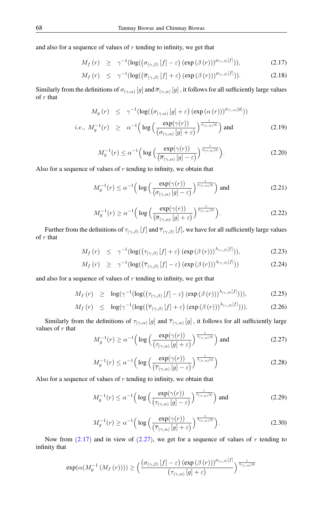and also for a sequence of values of  $r$  tending to infinity, we get that

<span id="page-5-0"></span>
$$
M_f(r) \geq \gamma^{-1} (\log((\sigma_{(\gamma,\beta)}[f] - \varepsilon) (\exp(\beta(r)))^{\rho_{(\gamma,\beta)}[f]})), \qquad (2.17)
$$

$$
M_f(r) \leq \gamma^{-1} (\log((\overline{\sigma}_{(\gamma,\beta)}[f]+\varepsilon) (\exp(\beta(r)))^{\rho_{(\gamma,\beta)}[f]})). \tag{2.18}
$$

Similarly from the definitions of  $\sigma_{(\gamma,\alpha)}[g]$  and  $\overline{\sigma}_{(\gamma,\alpha)}[g]$  , it follows for all sufficiently large values of r that

<span id="page-5-8"></span>
$$
M_g(r) \leq \gamma^{-1} (\log((\sigma_{(\gamma,\alpha)}[g] + \varepsilon) (\exp(\alpha(r)))^{\rho_{(\gamma,\alpha)}[g]}) )
$$
  
*i.e.*,  $M_g^{-1}(r) \geq \alpha^{-1} (\log(\frac{\exp(\gamma(r))}{(\sigma_{(\gamma,\alpha)}[g] + \varepsilon)})^{\frac{1}{\rho_{(\gamma,\alpha)}[g]}})$  and (2.19)

<span id="page-5-6"></span>
$$
M_g^{-1}(r) \le \alpha^{-1} \Big( \log \Big( \frac{\exp(\gamma(r))}{(\overline{\sigma}_{(\gamma,\alpha)}[g] - \varepsilon)} \Big)^{\frac{1}{\rho_{(\gamma,\alpha)}[g]}} \Big). \tag{2.20}
$$

<span id="page-5-10"></span><span id="page-5-3"></span>Also for a sequence of values of  $r$  tending to infinity, we obtain that

$$
M_g^{-1}(r) \le \alpha^{-1} \Big( \log \Big( \frac{\exp(\gamma(r))}{(\sigma_{(\gamma,\alpha)}[g] - \varepsilon)} \Big)^{\frac{1}{\rho_{(\gamma,\alpha)}[g]}} \Big) \text{ and } \tag{2.21}
$$

$$
M_g^{-1}(r) \ge \alpha^{-1} \Big( \log \Big( \frac{\exp(\gamma(r))}{\left(\overline{\sigma}_{(\gamma,\alpha)}[g] + \varepsilon\right)} \Big)^{\frac{1}{\rho_{(\gamma,\alpha)}[g]}} \Big). \tag{2.22}
$$

Further from the definitions of  $\tau_{(\gamma,\beta)}[f]$  and  $\overline{\tau}_{(\gamma,\beta)}[f]$ , we have for all sufficiently large values of  $r$  that

<span id="page-5-4"></span>
$$
M_f(r) \leq \gamma^{-1} (\log((\tau_{(\gamma,\beta)}[f]+\varepsilon) (\exp(\beta(r)))^{\lambda_{(\gamma,\beta)}[f]})), \qquad (2.23)
$$

$$
M_f(r) \geq \gamma^{-1} (\log((\overline{\tau}_{(\gamma,\beta)}[f] - \varepsilon) (\exp(\beta(r)))^{\lambda_{(\gamma,\beta)}[f]})) \tag{2.24}
$$

and also for a sequence of values of  $r$  tending to infinity, we get that

<span id="page-5-7"></span>
$$
M_f(r) \geq \log(\gamma^{-1}(\log((\tau_{(\gamma,\beta)}[f]-\varepsilon)\exp(\beta(r)))^{\lambda_{(\gamma,\beta)}[f]}))), \qquad (2.25)
$$

$$
M_f(r) \leq \log(\gamma^{-1}(\log((\overline{\tau}_{(\gamma,\beta)}[f]+\varepsilon)\exp(\beta(r)))^{\lambda_{(\gamma,\beta)}[f]}))). \tag{2.26}
$$

<span id="page-5-5"></span>Similarly from the definitions of  $\tau_{(\gamma,\alpha)}[g]$  and  $\overline{\tau}_{(\gamma,\alpha)}[g]$ , it follows for all sufficiently large values of  $r$  that

<span id="page-5-1"></span>
$$
M_g^{-1}(r) \ge \alpha^{-1} \Big( \log \Big( \frac{\exp(\gamma(r))}{(\tau_{(\gamma,\alpha)}[g] + \varepsilon)} \Big)^{\frac{1}{\lambda_{(\gamma,\alpha)}[g]}} \Big) \text{ and } \tag{2.27}
$$

$$
M_g^{-1}(r) \le \alpha^{-1} \Big( \log \Big( \frac{\exp(\gamma(r))}{\left(\overline{\tau}_{(\gamma,\alpha)} \left[g\right] - \varepsilon\right)} \Big)^{\frac{1}{\lambda_{(\gamma,\alpha)}[g]}} \Big) \tag{2.28}
$$

<span id="page-5-2"></span>Also for a sequence of values of  $r$  tending to infinity, we obtain that

<span id="page-5-9"></span>
$$
M_g^{-1}(r) \le \alpha^{-1} \Big( \log \Big( \frac{\exp(\gamma(r))}{(\tau_{(\gamma,\alpha)}[g] - \varepsilon)} \Big)^{\frac{1}{\lambda_{(\gamma,\alpha)}[g]}} \Big) \text{ and } \tag{2.29}
$$

$$
M_g^{-1}(r) \ge \alpha^{-1} \Big( \log \Big( \frac{\exp(\gamma(r))}{\left(\overline{\tau}_{(\gamma,\alpha)}[g] + \varepsilon\right)} \Big)^{\frac{1}{\lambda_{(\gamma,\alpha)}[g]}} \Big). \tag{2.30}
$$

Now from  $(2.17)$  $(2.17)$  $(2.17)$  and in view of  $(2.27)$  $(2.27)$  $(2.27)$ , we get for a sequence of values of r tending to infinity that

$$
\exp(\alpha(M_g^{-1}(M_f(r)))) \geq \Big(\frac{(\sigma_{(\gamma,\beta)}[f] - \varepsilon) (\exp(\beta(r)))^{\rho_{(\gamma,\beta)}[f]}}{(\tau_{(\gamma,\alpha)}[g] + \varepsilon)}\Big)^{\frac{1}{\lambda_{(\gamma,\alpha)}[g]}}
$$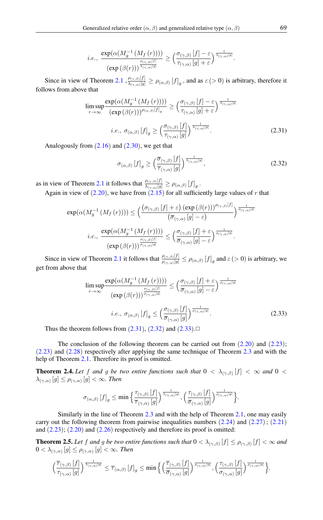$$
i.e., \ \frac{\exp(\alpha(M_g^{-1}(M_f(r))))}{(\exp(\beta(r)))^{\frac{\rho_{(\gamma,\beta)}[f]}{\lambda_{(\gamma,\alpha)}[g]}}}\geq \Big(\frac{\sigma_{(\gamma,\beta)}[f]-\varepsilon}{\tau_{(\gamma,\alpha)}[g]+\varepsilon}\Big)^{\frac{1}{\lambda_{(\gamma,\alpha)}[g]}}.
$$

<span id="page-6-0"></span>Since in view of Theorem [2.1](#page-3-7),  $\frac{\rho_{(\gamma,\beta)}[f]}{\lambda_{(\gamma,\alpha)}[g]}$  $\frac{\rho(\gamma,\beta)[J]}{\lambda(\gamma,\alpha)[g]} \ge \rho(\alpha,\beta)$   $[f]_g$ , and as  $\varepsilon > 0$ ) is arbitrary, therefore it follows from above that

$$
\limsup_{r \to \infty} \frac{\exp(\alpha(M_g^{-1}(M_f(r))))}{(\exp(\beta(r)))^{\rho_{(\alpha,\beta)}[f]_g}} \ge \left(\frac{\sigma_{(\gamma,\beta)}[f] - \varepsilon}{\tau_{(\gamma,\alpha)}[g] + \varepsilon}\right)^{\frac{1}{\lambda_{(\gamma,\alpha)}[g]}}
$$
\n*i.e.*,  $\sigma_{(\alpha,\beta)}[f]_g \ge \left(\frac{\sigma_{(\gamma,\beta)}[f]}{\tau_{(\gamma,\alpha)}[g]}\right)^{\frac{1}{\lambda_{(\gamma,\alpha)}[g]}}.$  (2.31)

Analogously from  $(2.16)$  $(2.16)$  $(2.16)$  and  $(2.30)$  $(2.30)$  $(2.30)$ , we get that

<span id="page-6-1"></span>
$$
\sigma_{(\alpha,\beta)}\left[f\right]_g \ge \left(\frac{\overline{\sigma}_{(\gamma,\beta)}\left[f\right]}{\overline{\tau}_{(\gamma,\alpha)}\left[g\right]}\right)^{\frac{1}{\lambda_{(\gamma,\alpha)}\left[g\right]}},\tag{2.32}
$$

as in view of Theorem [2.1](#page-3-7) it follows that  $\frac{\rho_{(\gamma,\beta)}[f]}{\lambda_{(\gamma,\beta)}[g]}$  $\frac{\rho_{(\gamma,\beta)[J]}}{\lambda_{(\gamma,\alpha)[g]}} \geq \rho_{(\alpha,\beta)}[f]_g$ .

<span id="page-6-2"></span>Again in view of  $(2.20)$  $(2.20)$  $(2.20)$ , we have from  $(2.15)$  $(2.15)$  $(2.15)$  for all sufficiently large values of r that

$$
\exp(\alpha(M_g^{-1}(M_f(r)))) \leq \left(\frac{(\sigma_{(\gamma,\beta)}[f] + \varepsilon) (\exp(\beta(r)))^{\rho_{(\gamma,\beta)}[f]}}{(\overline{\sigma}_{(\gamma,\alpha)}[g] - \varepsilon)}\right)^{\frac{1}{\rho_{(\gamma,\alpha)}[g]}}{\left(\frac{\exp(\alpha(M_g^{-1}(M_f(r))))}{(\exp(\beta(r)))^{\frac{\rho_{(\gamma,\beta)}[f]}}}\right)} \leq \left(\frac{\sigma_{(\gamma,\beta)}[f] + \varepsilon}{\overline{\sigma}_{(\gamma,\alpha)}[g] - \varepsilon}\right)^{\frac{1}{\rho_{(\gamma,\alpha)}[g]}}.
$$

Since in view of Theorem [2.1](#page-3-7) it follows that  $\frac{\rho_{(\gamma,\beta)}[f]}{\rho_{(\gamma,\beta)}[g]}$  $\frac{\rho_{(\gamma,\beta)}[j]}{\rho_{(\gamma,\alpha)}[g]} \leq \rho_{(\alpha,\beta)}[f]_g$  and  $\varepsilon > 0$ ) is arbitrary, we get from above that

$$
\limsup_{r \to \infty} \frac{\exp(\alpha(M_g^{-1}(M_f(r))))}{(\exp(\beta(r)))^{\frac{\rho_{(\gamma,\beta)}[f]}{\rho_{(\gamma,\alpha)}[g]}} \leq \left(\frac{\sigma_{(\gamma,\beta)}[f] + \varepsilon}{\overline{\sigma}_{(\gamma,\alpha)}[g] - \varepsilon}\right)^{\frac{1}{\rho_{(\gamma,\alpha)}[g]}}
$$
\n*i.e.*,  $\sigma_{(\alpha,\beta)}[f]_g \leq \left(\frac{\sigma_{(\gamma,\beta)}[f]}{\overline{\sigma}_{(\gamma,\alpha)}[g]}\right)^{\frac{1}{\rho_{(\gamma,\alpha)}[g]}}$ . (2.33)

Thus the theorem follows from  $(2.31)$  $(2.31)$  $(2.31)$ ,  $(2.32)$  $(2.32)$  $(2.32)$  and  $(2.33)$  $(2.33)$  $(2.33)$ . $\Box$ 

The conclusion of the following theorem can be carried out from  $(2.20)$  $(2.20)$  $(2.20)$  and  $(2.23)$  $(2.23)$  $(2.23)$ ; (2.[23](#page-5-4)) and (2.[28](#page-5-5)) respectively after applying the same technique of Theorem [2.3](#page-4-6) and with the help of Theorem [2.1.](#page-3-7) Therefore its proof is omitted.

**Theorem 2.4.** Let f and g be two entire functions such that  $0 < \lambda_{(\gamma,\beta)}[f] < \infty$  and  $0 <$  $\lambda_{(\gamma,\alpha)}[g] \leq \rho_{(\gamma,\alpha)}[g] < \infty$ . Then

$$
\sigma_{(\alpha,\beta)}\left[f\right]_g\leq\min\Big\{\frac{\tau_{(\gamma,\beta)}\left[f\right]}{\overline{\tau}_{(\gamma,\alpha)}\left[g\right]}\Big)^{\frac{1}{\lambda_{(\gamma,\alpha)}\left[g\right]}},\Big(\frac{\tau_{(\gamma,\beta)}\left[f\right]}{\overline{\sigma}_{(\gamma,\alpha)}\left[g\right]}\Big)^{\frac{1}{\rho_{(\gamma,\alpha)}\left[g\right]}}\Big\}.
$$

Similarly in the line of Theorem [2.3](#page-4-6) and with the help of Theorem [2.1,](#page-3-7) one may easily carry out the following theorem from pairwise inequalities numbers  $(2.24)$  $(2.24)$  $(2.24)$  and  $(2.27)$  $(2.27)$  $(2.27)$ ;  $(2.21)$  $(2.21)$  $(2.21)$ and  $(2.23)$  $(2.23)$  $(2.23)$ ;  $(2.20)$  $(2.20)$  $(2.20)$  and  $(2.26)$  $(2.26)$  $(2.26)$  respectively and therefore its proof is omitted:

**Theorem 2.5.** Let f and g be two entire functions such that  $0 < \lambda_{(\gamma,\beta)}[f] \le \rho_{(\gamma,\beta)}[f] < \infty$  and  $0 < \lambda_{(\gamma, \alpha)} [g] \leq \rho_{(\gamma, \alpha)} [g] < \infty$ . Then

$$
\Big(\frac{\overline{\tau}_{(\gamma,\beta)}\left[f\right]}{\tau_{(\gamma,\alpha)}\left[g\right]}\Big)^{\frac{1}{\lambda_{(\gamma,\alpha)}\left[g\right]}}\leq\overline{\tau}_{(\alpha,\beta)}\left[f\right]_{g}\leq\min\Big\{\Big(\frac{\overline{\tau}_{(\gamma,\beta)}\left[f\right]}{\overline{\sigma}_{(\gamma,\alpha)}\left[g\right]}\Big)^{\frac{1}{\rho_{(\gamma,\alpha)}\left[g\right]}},\Big(\frac{\tau_{(\gamma,\beta)}\left[f\right]}{\sigma_{(\gamma,\alpha)}\left[g\right]}\Big)^{\frac{1}{\rho_{(\gamma,\alpha)}\left[g\right]}}\Big\}.
$$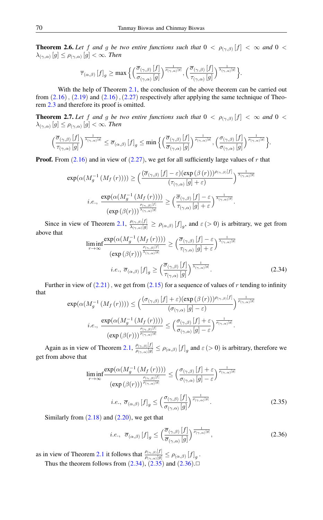**Theorem 2.6.** Let f and g be two entire functions such that  $0 < \rho_{(\gamma,\beta)}[f] < \infty$  and  $0 <$  $\lambda_{(\gamma,\alpha)}[g] \leq \rho_{(\gamma,\alpha)}[g] < \infty$ . Then

$$
\overline{\tau}_{(\alpha,\beta)}\left[f\right]_g \geq \max\Big\{\Big(\frac{\overline{\sigma}_{(\gamma,\beta)}\left[f\right]}{\sigma_{(\gamma,\alpha)}\left[g\right]}\Big)^{\frac{1}{\rho_{(\gamma,\alpha)}\left[g\right]}}, \Big(\frac{\overline{\sigma}_{(\gamma,\beta)}\left[f\right]}{\tau_{(\gamma,\alpha)}\left[g\right]}\Big)^{\frac{1}{\lambda_{(\gamma,\alpha)}\left[g\right]}}\Big\}.
$$

With the help of Theorem [2.1,](#page-3-7) the conclusion of the above theorem can be carried out from  $(2.16)$  $(2.16)$  $(2.16)$ ,  $(2.19)$  $(2.19)$  $(2.19)$  and  $(2.16)$ ,  $(2.27)$  $(2.27)$  $(2.27)$  respectively after applying the same technique of Theorem [2.3](#page-4-6) and therefore its proof is omitted.

<span id="page-7-3"></span>**Theorem 2.7.** Let f and g be two entire functions such that  $0 < \rho_{(\gamma,\beta)}[f] < \infty$  and  $0 <$  $\lambda_{(\gamma, \alpha)} \left[ g \right] \leq \rho_{(\gamma, \alpha)} \left[ g \right] < \infty$ . Then

$$
\Big(\frac{\overline{\sigma}_{(\gamma,\beta)}\left[f\right]}{\tau_{(\gamma,\alpha)}\left[g\right]}\Big)^{\frac{1}{\lambda_{(\gamma,\alpha)}\left[g\right]}} \leq \overline{\sigma}_{(\alpha,\beta)}\left[f\right]_{g} \leq \min\Big\{\Big(\frac{\overline{\sigma}_{(\gamma,\beta)}\left[f\right]}{\overline{\sigma}_{(\gamma,\alpha)}\left[g\right]}\Big)^{\frac{1}{\rho_{(\gamma,\alpha)}\left[g\right]}}, \Big(\frac{\sigma_{(\gamma,\beta)}\left[f\right]}{\sigma_{(\gamma,\alpha)}\left[g\right]}\Big)^{\frac{1}{\rho_{(\gamma,\alpha)}\left[g\right]}}\Big\}.
$$

<span id="page-7-0"></span>**Proof.** From  $(2.16)$  $(2.16)$  $(2.16)$  and in view of  $(2.27)$  $(2.27)$  $(2.27)$ , we get for all sufficiently large values of r that

$$
\exp(\alpha(M_g^{-1}(M_f(r)))) \ge \left(\frac{(\overline{\sigma}_{(\gamma,\beta)}[f] - \varepsilon)(\exp(\beta(r)))^{\rho_{(\gamma,\beta)}[f]}}{(\tau_{(\gamma,\alpha)}[g] + \varepsilon)}\right)^{\frac{1}{\lambda_{(\gamma,\alpha)}[g]}} \\
 i.e., \ \frac{\exp(\alpha(M_g^{-1}(M_f(r))))}{(\exp(\beta(r)))^{\frac{\rho_{(\gamma,\beta)}[f]}{\lambda_{(\gamma,\alpha)}[g]}} \ge \left(\frac{\overline{\sigma}_{(\gamma,\beta)}[f] - \varepsilon}{\tau_{(\gamma,\alpha)}[g] + \varepsilon}\right)^{\frac{1}{\lambda_{(\gamma,\alpha)}[g]}}.
$$

Since in view of Theorem [2.1,](#page-3-7)  $\frac{\rho_{(\gamma,\beta)}[f]}{\lambda_{(\gamma,\beta)}[g]}$  $\frac{\rho_{(\gamma,\beta)}[j]}{\lambda_{(\gamma,\alpha)}[g]} \ge \rho_{(\alpha,\beta)}[f]_g$ , and  $\varepsilon > 0$ ) is arbitrary, we get from above that

$$
\liminf_{r \to \infty} \frac{\exp(\alpha(M_g^{-1}(M_f(r))))}{(\exp(\beta(r)))^{\frac{\rho_{(\gamma,\beta)}[f]}{\lambda_{(\gamma,\alpha)}[g]}} \ge (\frac{\overline{\sigma}_{(\gamma,\beta)}[f] - \varepsilon}{\tau_{(\gamma,\alpha)}[g] + \varepsilon})^{\frac{\overline{\lambda_{(\gamma,\alpha)}[g]} }{\lambda_{(\gamma,\alpha)}[g]}} \quad i.e., \ \overline{\sigma}_{(\alpha,\beta)}[f]_g \ge (\frac{\overline{\sigma}_{(\gamma,\beta)}[f]}{\tau_{(\gamma,\alpha)}[g]})^{\frac{1}{\lambda_{(\gamma,\alpha)}[g]}}.
$$
\n(2.34)

<span id="page-7-1"></span>Further in view of  $(2.21)$  $(2.21)$  $(2.21)$ , we get from  $(2.15)$  $(2.15)$  $(2.15)$  for a sequence of values of r tending to infinity that  $\frac{1}{\sqrt{2}}$  (c))) =  $\frac{1}{2}$ (exp (β (x))))  $\theta$ (e

$$
\exp(\alpha(M_g^{-1}(M_f(r)))) \leq \left(\frac{(\sigma_{(\gamma,\beta)}[f] + \varepsilon)(\exp(\beta(r)))^{\rho_{(\gamma,\beta)}[f]}}{(\sigma_{(\gamma,\alpha)}[g] - \varepsilon)}\right)^{\frac{1}{\rho_{(\gamma,\alpha)}[g]}}{\varepsilon}.
$$
  

$$
i.e., \frac{\exp(\alpha(M_g^{-1}(M_f(r))))}{(\exp(\beta(r)))^{\frac{\rho_{(\gamma,\beta)}[f]}{\rho_{(\gamma,\alpha)}[g]}} \leq \left(\frac{\sigma_{(\gamma,\beta)}[f] + \varepsilon}{\sigma_{(\gamma,\alpha)}[g] - \varepsilon}\right)^{\frac{1}{\rho_{(\gamma,\alpha)}[g]}}.
$$

Again as in view of Theorem [2.1,](#page-3-7)  $\frac{\rho_{(\gamma,\beta)}[f]}{\rho_{(\gamma,\beta)}[g]}$  $\frac{\rho_{(\gamma,\beta)}[J]}{\rho_{(\gamma,\alpha)}[g]} \leq \rho_{(\alpha,\beta)}[f]_g$  and  $\varepsilon (> 0)$  is arbitrary, therefore we get from above that

$$
\liminf_{r \to \infty} \frac{\exp(\alpha(M_g^{-1}(M_f(r))))}{(\exp(\beta(r)))^{\frac{\rho(\gamma,\beta)}{p(\gamma,\alpha)[g]}} \le (\frac{\sigma_{(\gamma,\beta)}[f] + \varepsilon}{\sigma_{(\gamma,\alpha)}[g] - \varepsilon})^{\frac{1}{\rho_{(\gamma,\alpha)}[g]}}
$$
\n*i.e.*,  $\overline{\sigma}_{(\alpha,\beta)}[f]_g \le (\frac{\sigma_{(\gamma,\beta)}[f]}{\sigma_{(\gamma,\alpha)}[g]})^{\frac{1}{\rho_{(\gamma,\alpha)}[g]}}$ . (2.35)

Similarly from  $(2.18)$  $(2.18)$  $(2.18)$  and  $(2.20)$  $(2.20)$  $(2.20)$ , we get that

<span id="page-7-2"></span>
$$
i.e., \ \overline{\sigma}_{(\alpha,\beta)} \left[ f \right]_g \le \left( \frac{\overline{\sigma}_{(\gamma,\beta)} \left[ f \right]}{\overline{\sigma}_{(\gamma,\alpha)} \left[ g \right]} \right)^{\frac{1}{\rho_{(\gamma,\alpha)} \left[ g \right]}},\tag{2.36}
$$

as in view of Theorem [2.1](#page-3-7) it follows that  $\frac{\rho_{(\gamma,\beta)}[f]}{(\gamma-\gamma)}$  $\frac{\rho_{(\gamma,\beta)}(f)}{\rho_{(\gamma,\alpha)}[g]} \leq \rho_{(\alpha,\beta)}[f]_g$ .

Thus the theorem follows from  $(2.34)$  $(2.34)$  $(2.34)$ ,  $(2.35)$  $(2.35)$  $(2.35)$  and  $(2.36)$  $(2.36)$  $(2.36)$ .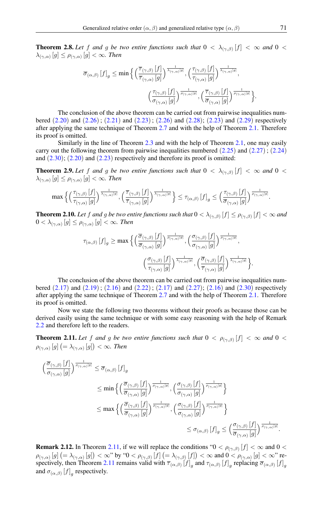**Theorem 2.8.** Let f and g be two entire functions such that  $0 < \lambda_{(\gamma,\beta)}[f] < \infty$  and  $0 <$  $\lambda_{(\gamma,\alpha)}[g] \leq \rho_{(\gamma,\alpha)}[g] < \infty$ . Then

$$
\overline{\sigma}_{(\alpha,\beta)}[f]_g \le \min\Big\{\Big(\frac{\overline{\tau}_{(\gamma,\beta)}[f]}{\overline{\tau}_{(\gamma,\alpha)}[g]}\Big)^{\frac{1}{\lambda_{(\gamma,\alpha)}[g]}}, \Big(\frac{\tau_{(\gamma,\beta)}[f]}{\tau_{(\gamma,\alpha)}[g]}\Big)^{\frac{1}{\lambda_{(\gamma,\alpha)}[g]}},\Big(\frac{\tau_{(\gamma,\beta)}[f]}{\overline{\sigma}_{(\gamma,\alpha)}[g]}\Big)^{\frac{1}{\rho_{(\gamma,\alpha)}[g]}},\Big(\frac{\overline{\tau}_{(\gamma,\beta)}[f]}{\overline{\sigma}_{(\gamma,\alpha)}[g]}\Big)^{\frac{1}{\rho_{(\gamma,\alpha)}[g]}}\Big\}.
$$

The conclusion of the above theorem can be carried out from pairwise inequalities numbered  $(2.20)$  $(2.20)$  $(2.20)$  and  $(2.26)$  $(2.26)$  $(2.26)$ ;  $(2.21)$  $(2.21)$  $(2.21)$  and  $(2.23)$  $(2.23)$  $(2.23)$ ;  $(2.26)$  and  $(2.28)$  $(2.28)$  $(2.28)$ ;  $(2.23)$  and  $(2.29)$  $(2.29)$  $(2.29)$  respectively after applying the same technique of Theorem [2.7](#page-7-3) and with the help of Theorem [2.1.](#page-3-7) Therefore its proof is omitted.

Similarly in the line of Theorem [2.3](#page-4-6) and with the help of Theorem [2.1,](#page-3-7) one may easily carry out the following theorem from pairwise inequalities numbered  $(2.25)$  $(2.25)$  $(2.25)$  and  $(2.27)$  $(2.27)$  $(2.27)$ ;  $(2.24)$  $(2.24)$  $(2.24)$ and  $(2.30)$  $(2.30)$  $(2.30)$ ;  $(2.20)$  $(2.20)$  $(2.20)$  and  $(2.23)$  $(2.23)$  $(2.23)$  respectively and therefore its proof is omitted:

**Theorem 2.9.** Let f and g be two entire functions such that  $0 < \lambda_{(\gamma,\beta)}[f] < \infty$  and  $0 <$  $\lambda_{(\gamma, \alpha)} \left[ g \right] \leq \rho_{(\gamma, \alpha)} \left[ g \right] < \infty$ . Then

$$
\max\Big\{\Big(\frac{\tau_{(\gamma,\beta)}\left[f\right]}{\tau_{(\gamma,\alpha)}\left[g\right]}\Big)^{\frac{1}{\lambda_{(\gamma,\alpha)}\left[g\right]}}, \Big(\frac{\overline{\tau}_{(\gamma,\beta)}\left[f\right]}{\overline{\tau}_{(\gamma,\alpha)}\left[g\right]}\Big)^{\frac{1}{\lambda_{(\gamma,\alpha)}\left[g\right]}}\Big\}\leq \tau_{(\alpha,\beta)}\left[f\right]_{g}\leq \Big(\frac{\tau_{(\gamma,\beta)}\left[f\right]}{\overline{\sigma}_{(\gamma,\alpha)}\left[g\right]}\Big)^{\frac{1}{\rho_{(\gamma,\alpha)}\left[g\right]}}.
$$

**Theorem 2.10.** Let f and g be two entire functions such that  $0 < \lambda_{(\gamma,\beta)}[f] \leq \rho_{(\gamma,\beta)}[f] < \infty$  and  $0<\lambda_{(\gamma,\alpha)}\left[g\right]\leq\rho_{(\gamma,\alpha)}\left[g\right]<\infty.$  Then

$$
\tau_{(\alpha,\beta)}\left[f\right]_{g} \geq \max \Big\{ \Big( \frac{\overline{\sigma}_{(\gamma,\beta)}\left[f\right]}{\overline{\sigma}_{(\gamma,\alpha)}\left[g\right]} \Big)^{\frac{1}{\rho_{(\gamma,\alpha)}\left[g\right]}}, \Big( \frac{\sigma_{(\gamma,\beta)}\left[f\right]}{\sigma_{(\gamma,\alpha)}\left[g\right]} \Big)^{\frac{1}{\rho_{(\gamma,\alpha)}\left[g\right]}}, \Big( \frac{\overline{\sigma}_{(\gamma,\alpha)}\left[f\right]}{\overline{\sigma}_{(\gamma,\alpha)}\left[g\right]} \Big)^{\frac{1}{\overline{\lambda}_{(\gamma,\alpha)}\left[g\right]}}, \Big( \frac{\overline{\sigma}_{(\gamma,\beta)}\left[f\right]}{\overline{\tau}_{(\gamma,\alpha)}\left[g\right]} \Big)^{\frac{1}{\overline{\lambda}_{(\gamma,\alpha)}\left[g\right]} } \Big\}.
$$

The conclusion of the above theorem can be carried out from pairwise inequalities numbered  $(2.17)$  $(2.17)$  $(2.17)$  and  $(2.19)$  $(2.19)$  $(2.19)$ ;  $(2.16)$  $(2.16)$  $(2.16)$  and  $(2.22)$  $(2.22)$  $(2.22)$ ;  $(2.17)$  and  $(2.27)$  $(2.27)$  $(2.27)$ ;  $(2.16)$  and  $(2.30)$  $(2.30)$  $(2.30)$  respectively after applying the same technique of Theorem [2.7](#page-7-3) and with the help of Theorem [2.1.](#page-3-7) Therefore its proof is omitted.

Now we state the following two theorems without their proofs as because those can be derived easily using the same technique or with some easy reasoning with the help of Remark [2.2](#page-4-7) and therefore left to the readers.

<span id="page-8-0"></span>**Theorem 2.11.** Let f and g be two entire functions such that  $0 < \rho_{(\gamma,\beta)}[f] < \infty$  and  $0 <$  $\rho_{(\gamma, \alpha)} \left[ g \right] \left(= \lambda_{(\gamma, \alpha)} \left[ g \right] \right) < \infty$ . Then

$$
\begin{aligned}\n&\left(\frac{\overline{\sigma}_{(\gamma,\beta)}\left[f\right]}{\sigma_{(\gamma,\alpha)}\left[g\right]}\right)^{\frac{1}{\rho_{(\gamma,\alpha)}\left[g\right]}} \leq \overline{\sigma}_{(\alpha,\beta)}\left[f\right]_{g} \\
&\leq \min\left\{\left(\frac{\overline{\sigma}_{(\gamma,\beta)}\left[f\right]}{\overline{\sigma}_{(\gamma,\alpha)}\left[g\right]}\right)^{\frac{1}{\rho_{(\gamma,\alpha)}\left[g\right]}}, \left(\frac{\sigma_{(\gamma,\beta)}\left[f\right]}{\sigma_{(\gamma,\alpha)}\left[g\right]}\right)^{\frac{1}{\rho_{(\gamma,\alpha)}\left[g\right]}}\right\} \\
&\leq \max\left\{\left(\frac{\overline{\sigma}_{(\gamma,\beta)}\left[f\right]}{\overline{\sigma}_{(\gamma,\alpha)}\left[g\right]}\right)^{\frac{1}{\rho_{(\gamma,\alpha)}\left[g\right]}}, \left(\frac{\sigma_{(\gamma,\beta)}\left[f\right]}{\sigma_{(\gamma,\alpha)}\left[g\right]}\right)^{\frac{1}{\rho_{(\gamma,\alpha)}\left[g\right]}}\right\} \\
&\leq \sigma_{(\alpha,\beta)}\left[f\right]_{g} \leq \left(\frac{\sigma_{(\gamma,\beta)}\left[f\right]}{\overline{\sigma}_{(\gamma,\alpha)}\left[g\right]}\right)^{\frac{1}{\rho_{(\gamma,\alpha)}\left[g\right]}}.\n\end{aligned}
$$

**Remark 2.12.** In Theorem [2.11,](#page-8-0) if we will replace the conditions " $0 < \rho_{(\gamma,\beta)}[f] < \infty$  and  $0 <$  $\rho_{(\gamma,\alpha)}[g]\left(=\lambda_{(\gamma,\alpha)}[g]\right)<\infty$ " by " $0<\rho_{(\gamma,\beta)}[f]\left(=\lambda_{(\gamma,\beta)}[f]\right)<\infty$  and  $0<\rho_{(\gamma,\alpha)}[g]<\infty$ " re-spectively, then Theorem [2.11](#page-8-0) remains valid with  $\overline{\tau}_{(\alpha,\beta)}[f]_g$  and  $\tau_{(\alpha,\beta)}[f]_g$  replacing  $\overline{\sigma}_{(\alpha,\beta)}[f]_g$ and  $\sigma_{(\alpha,\beta)}[f]_g$  respectively.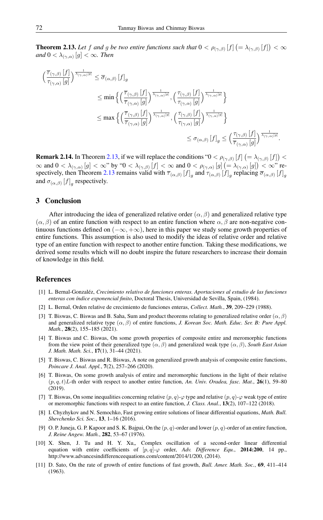<span id="page-9-12"></span>**Theorem 2.13.** Let f and g be two entire functions such that  $0 < \rho_{(\gamma,\beta)}[f]$   $(=\lambda_{(\gamma,\beta)}[f]) < \infty$ and  $0 < \lambda_{(\gamma, \alpha)} \left[ g \right] < \infty$ . Then

$$
\begin{aligned} \left(\frac{\overline{\tau}_{(\gamma,\beta)}\left[f\right]}{\tau_{(\gamma,\alpha)}\left[g\right]}\right)^{\frac{1}{\lambda_{(\gamma,\alpha)}\left[g\right]}} &\leq \overline{\sigma}_{(\alpha,\beta)}\left[f\right]_{g} \\ &\leq \min\Big\{\Big(\frac{\overline{\tau}_{(\gamma,\beta)}\left[f\right]}{\overline{\tau}_{(\gamma,\alpha)}\left[g\right]}\Big)^{\frac{1}{\lambda_{(\gamma,\alpha)}\left[g\right]}},\Big(\frac{\tau_{(\gamma,\beta)}\left[f\right]}{\tau_{(\gamma,\alpha)}\left[g\right]}\Big)^{\frac{1}{\lambda_{(\gamma,\alpha)}\left[g\right]}}\Big\} \\ &\leq \max\Big\{\Big(\frac{\overline{\tau}_{(\gamma,\beta)}\left[f\right]}{\overline{\tau}_{(\gamma,\alpha)}\left[g\right]}\Big)^{\frac{1}{\lambda_{(\gamma,\alpha)}\left[g\right]}},\Big(\frac{\tau_{(\gamma,\beta)}\left[f\right]}{\tau_{(\gamma,\alpha)}\left[g\right]}\Big)^{\frac{1}{\lambda_{(\gamma,\alpha)}\left[g\right]}}\Big\} \\ &\leq \sigma_{(\alpha,\beta)}\left[f\right]_{g} \leq \Big(\frac{\tau_{(\gamma,\beta)}\left[f\right]}{\overline{\tau}_{(\gamma,\alpha)}\left[g\right]}\Big)^{\frac{1}{\lambda_{(\gamma,\alpha)}\left[g\right]}}. \end{aligned}
$$

**Remark 2.14.** In Theorem [2.13,](#page-9-12) if we will replace the conditions " $0 < \rho_{(\gamma,\beta)}[f]$   $(=\lambda_{(\gamma,\beta)}[f]) <$  $\infty$  and  $0<\lambda_{(\gamma,\alpha)}\left[g\right]<\infty$ " by " $0<\lambda_{(\gamma,\beta)}\left[f\right]<\infty$  and  $0<\rho_{(\gamma,\alpha)}\left[g\right]=\lambda_{(\gamma,\alpha)}\left[g\right])<\infty$ " re-spectively, then Theorem [2.13](#page-9-12) remains valid with  $\overline{\tau}_{(\alpha,\beta)}[f]_g$  and  $\tau_{(\alpha,\beta)}[f]_g$  replacing  $\overline{\sigma}_{(\alpha,\beta)}[f]_g$ and  $\sigma_{(\alpha,\beta)}[f]_g$  respectively.

## 3 Conclusion

After introducing the idea of generalized relative order ( $\alpha$ ,  $\beta$ ) and generalized relative type  $(\alpha, \beta)$  of an entire function with respect to an entire function where  $\alpha, \beta$  are non-negative continuous functions defined on  $(-\infty, +\infty)$ , here in this paper we study some growth properties of entire functions. This assumption is also used to modify the ideas of relative order and relative type of an entire function with respect to another entire function. Taking these modifications, we derived some results which will no doubt inspire the future researchers to increase their domain of knowledge in this field.

## <span id="page-9-0"></span>References

- <span id="page-9-8"></span>[1] L. Bernal-Gonzaléz, *Crecimiento relativo de funciones enteras. Aportaciones al estudio de las funciones enteras con índice exponencial finito*, Doctoral Thesis, Universidad de Sevilla, Spain, (1984).
- <span id="page-9-9"></span>[2] L. Bernal, Orden relative de crecimiento de funciones enteras, *Collect. Math.*, 39, 209–229 (1988).
- <span id="page-9-10"></span>[3] T. Biswas, C. Biswas and B. Saha, Sum and product theorems relating to generalized relative order  $(\alpha, \beta)$ and generalized relative type  $(\alpha, \beta)$  of entire functions, *J. Korean Soc. Math. Educ. Ser. B: Pure Appl. Math.*, 28(2), 155–185 (2021).
- <span id="page-9-7"></span>[4] T. Biswas and C. Biswas, On some growth properties of composite entire and meromorphic functions from the view point of their generalized type  $(\alpha, \beta)$  and generalized weak type  $(\alpha, \beta)$ , *South East Asian J. Math. Math. Sci.*, 17(1), 31–44 (2021).
- <span id="page-9-5"></span>[5] T. Biswas, C. Biswas and R. Biswas, A note on generalized growth analysis of composite entire functions, *Poincare J. Anal. Appl.*, 7(2), 257–266 (2020).
- <span id="page-9-11"></span>[6] T. Biswas, On some growth analysis of entire and meromorphic functions in the light of their relative  $(p, q, t)$ L-th order with respect to another entire function, *An. Univ. Oradea, fasc. Mat.*, **26**(1), 59–80 (2019).
- <span id="page-9-3"></span>[7] T. Biswas, On some inequalities concerning relative  $(p, q)$ - $\varphi$  type and relative  $(p, q)$ - $\varphi$  weak type of entire or meromorphic functions with respect to an entire function, *J. Class. Anal.*, 13(2), 107–122 (2018).
- <span id="page-9-6"></span>[8] I. Chyzhykov and N. Semochko, Fast growing entire solutions of linear differential equations, *Math. Bull. Shevchenko Sci. Soc.*, 13, 1–16 (2016).
- <span id="page-9-1"></span>[9] O. P. Juneja, G. P. Kapoor and S. K. Bajpai, On the  $(p, q)$ -order and lower  $(p, q)$ -order of an entire function, *J. Reine Angew. Math.*, 282, 53–67 (1976).
- <span id="page-9-2"></span>[10] X. Shen, J. Tu and H. Y. Xu,, Complex oscillation of a second-order linear differential equation with entire coefficients of [p, q]-ϕ order, *Adv. Difference Equ.*, 2014:200, 14 pp., http://www.advancesindifferenceequations.com/content/2014/1/200, (2014).
- <span id="page-9-4"></span>[11] D. Sato, On the rate of growth of entire functions of fast growth, *Bull. Amer. Math. Soc.*, 69, 411–414 (1963).